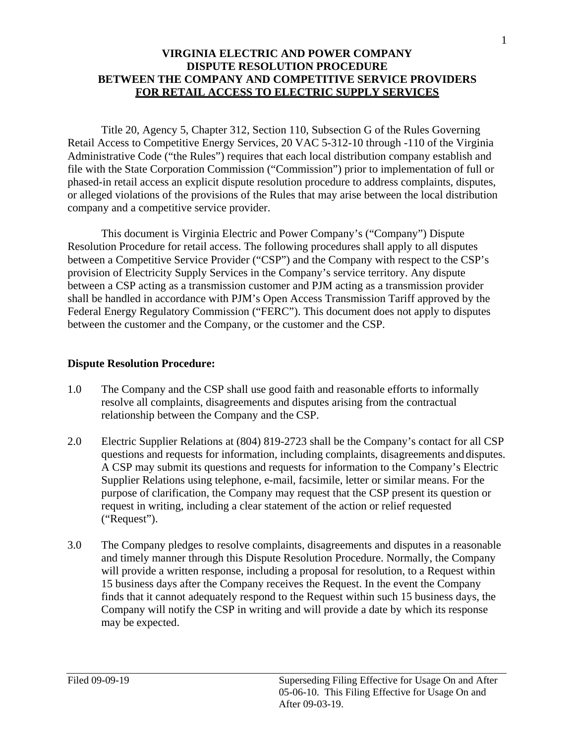## **VIRGINIA ELECTRIC AND POWER COMPANY DISPUTE RESOLUTION PROCEDURE BETWEEN THE COMPANY AND COMPETITIVE SERVICE PROVIDERS FOR RETAIL ACCESS TO ELECTRIC SUPPLY SERVICES**

Title 20, Agency 5, Chapter 312, Section 110, Subsection G of the Rules Governing Retail Access to Competitive Energy Services, 20 VAC 5-312-10 through -110 of the Virginia Administrative Code ("the Rules") requires that each local distribution company establish and file with the State Corporation Commission ("Commission") prior to implementation of full or phased-in retail access an explicit dispute resolution procedure to address complaints, disputes, or alleged violations of the provisions of the Rules that may arise between the local distribution company and a competitive service provider.

This document is Virginia Electric and Power Company's ("Company") Dispute Resolution Procedure for retail access. The following procedures shall apply to all disputes between a Competitive Service Provider ("CSP") and the Company with respect to the CSP's provision of Electricity Supply Services in the Company's service territory. Any dispute between a CSP acting as a transmission customer and PJM acting as a transmission provider shall be handled in accordance with PJM's Open Access Transmission Tariff approved by the Federal Energy Regulatory Commission ("FERC"). This document does not apply to disputes between the customer and the Company, or the customer and the CSP.

## **Dispute Resolution Procedure:**

- relationship between the Company and the CSP. 1.0 The Company and the CSP shall use good faith and reasonable efforts to informally resolve all complaints, disagreements and disputes arising from the contractual
- 2.0 Electric Supplier Relations at (804) 819-2723 shall be the Company's contact for all CSP A CSP may submit its questions and requests for information to the Company's Electric questions and requests for information, including complaints, disagreements and disputes. Supplier Relations using telephone, e-mail, facsimile, letter or similar means. For the purpose of clarification, the Company may request that the CSP present its question or request in writing, including a clear statement of the action or relief requested ("Request").
- 3.0 The Company pledges to resolve complaints, disagreements and disputes in a reasonable 15 business days after the Company receives the Request. In the event the Company finds that it cannot adequately respond to the Request within such 15 business days, the may be expected. and timely manner through this Dispute Resolution Procedure. Normally, the Company will provide a written response, including a proposal for resolution, to a Request within Company will notify the CSP in writing and will provide a date by which its response